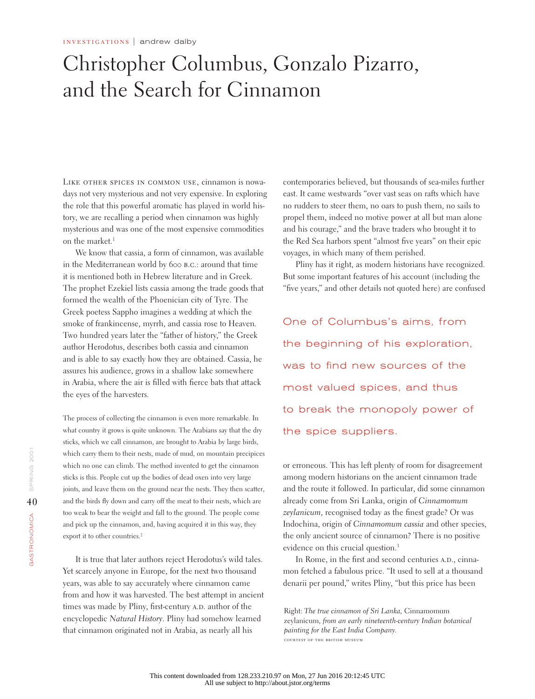## Christopher Columbus, Gonzalo Pizarro, and the Search for Cinnamon

Like other spices in common use, cinnamon is nowadays not very mysterious and not very expensive. In exploring the role that this powerful aromatic has played in world history, we are recalling a period when cinnamon was highly mysterious and was one of the most expensive commodities on the market.<sup>1</sup>

We know that cassia, a form of cinnamon, was available in the Mediterranean world by 600 b.c.: around that time it is mentioned both in Hebrew literature and in Greek. The prophet Ezekiel lists cassia among the trade goods that formed the wealth of the Phoenician city of Tyre. The Greek poetess Sappho imagines a wedding at which the smoke of frankincense, myrrh, and cassia rose to Heaven. Two hundred years later the "father of history," the Greek author Herodotus, describes both cassia and cinnamon and is able to say exactly how they are obtained. Cassia, he assures his audience, grows in a shallow lake somewhere in Arabia, where the air is filled with fierce bats that attack the eyes of the harvesters.

The process of collecting the cinnamon is even more remarkable. In what country it grows is quite unknown. The Arabians say that the dry sticks, which we call cinnamon, are brought to Arabia by large birds, which carry them to their nests, made of mud, on mountain precipices which no one can climb. The method invented to get the cinnamon sticks is this. People cut up the bodies of dead oxen into very large joints, and leave them on the ground near the nests. They then scatter, and the birds fly down and carry off the meat to their nests, which are too weak to bear the weight and fall to the ground. The people come and pick up the cinnamon, and, having acquired it in this way, they export it to other countries.<sup>2</sup>

It is true that later authors reject Herodotus's wild tales. Yet scarcely anyone in Europe, for the next two thousand years, was able to say accurately where cinnamon came from and how it was harvested. The best attempt in ancient times was made by Pliny, first-century A.D. author of the encyclopedic *Natural History*. Pliny had somehow learned that cinnamon originated not in Arabia, as nearly all his

contemporaries believed, but thousands of sea-miles further east. It came westwards "over vast seas on rafts which have no rudders to steer them, no oars to push them, no sails to propel them, indeed no motive power at all but man alone and his courage," and the brave traders who brought it to the Red Sea harbors spent "almost five years" on their epic voyages, in which many of them perished.

Pliny has it right, as modern historians have recognized. But some important features of his account (including the "five years," and other details not quoted here) are confused

One of Columbus's aims, from the beginning of his exploration, was to find new sources of the most valued spices, and thus to break the monopoly power of the spice suppliers.

or erroneous. This has left plenty of room for disagreement among modern historians on the ancient cinnamon trade and the route it followed. In particular, did some cinnamon already come from Sri Lanka, origin of *Cinnamomum zeylanicum*, recognised today as the finest grade? Or was Indochina, origin of *Cinnamomum cassia* and other species, the only ancient source of cinnamon? There is no positive evidence on this crucial question.<sup>3</sup>

In Rome, in the first and second centuries A.D., cinnamon fetched a fabulous price. "It used to sell at a thousand denarii per pound," writes Pliny, "but this price has been

Right: *The true cinnamon of Sri Lanka,* Cinnamomum zeylanicum*, from an early nineteenth-century Indian botanical painting for the East India Company.* courtesy of the british museum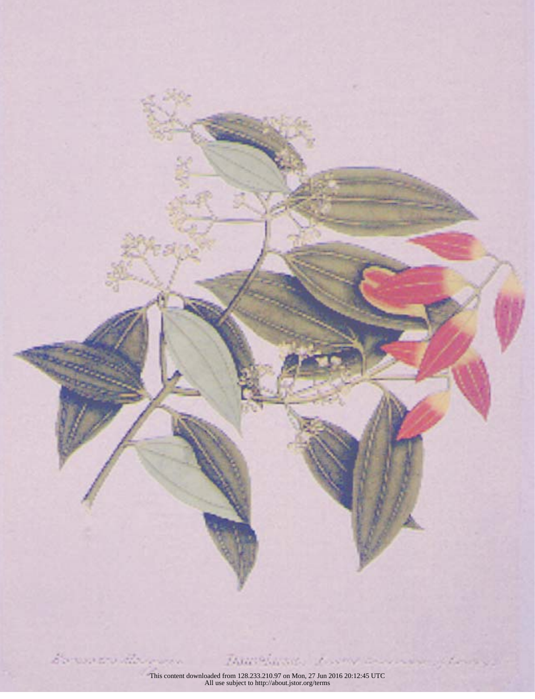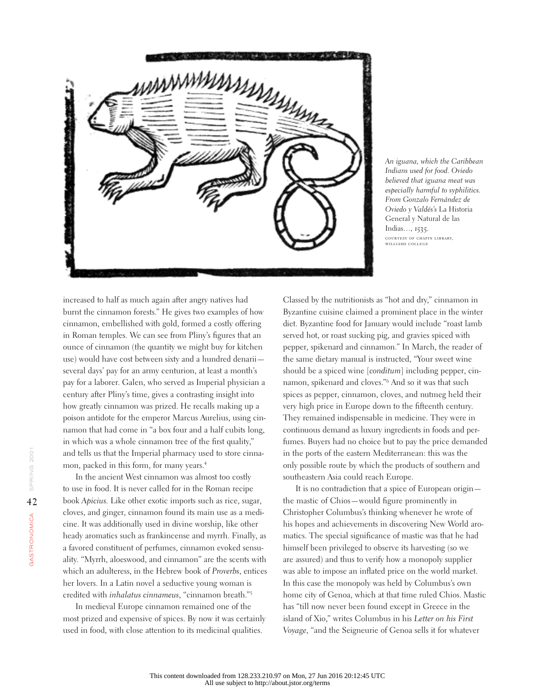*An iguana, which the Caribbean Indians used for food. Oviedo believed that iguana meat was especially harmful to syphilitics. From Gonzalo Fernández de Oviedo y Valdés's* La Historia General y Natural de las Indias*…, 1535.* courtesy of chapin library, williams college

increased to half as much again after angry natives had burnt the cinnamon forests." He gives two examples of how cinnamon, embellished with gold, formed a costly offering in Roman temples. We can see from Pliny's figures that an ounce of cinnamon (the quantity we might buy for kitchen use) would have cost between sixty and a hundred denarii several days' pay for an army centurion, at least a month's pay for a laborer. Galen, who served as Imperial physician a century after Pliny's time, gives a contrasting insight into how greatly cinnamon was prized. He recalls making up a poison antidote for the emperor Marcus Aurelius, using cinnamon that had come in "a box four and a half cubits long, in which was a whole cinnamon tree of the first quality," and tells us that the Imperial pharmacy used to store cinnamon, packed in this form, for many years.<sup>4</sup>

In the ancient West cinnamon was almost too costly to use in food. It is never called for in the Roman recipe book *Apicius.* Like other exotic imports such as rice, sugar, cloves, and ginger, cinnamon found its main use as a medicine. It was additionally used in divine worship, like other heady aromatics such as frankincense and myrrh. Finally, as a favored constituent of perfumes, cinnamon evoked sensuality. "Myrrh, aloeswood, and cinnamon" are the scents with which an adulteress, in the Hebrew book of *Proverbs*, entices her lovers. In a Latin novel a seductive young woman is credited with *inhalatus cinnameus*, "cinnamon breath."5

In medieval Europe cinnamon remained one of the most prized and expensive of spices. By now it was certainly used in food, with close attention to its medicinal qualities.

Classed by the nutritionists as "hot and dry," cinnamon in Byzantine cuisine claimed a prominent place in the winter diet. Byzantine food for January would include "roast lamb served hot, or roast sucking pig, and gravies spiced with pepper, spikenard and cinnamon." In March, the reader of the same dietary manual is instructed, "Your sweet wine should be a spiced wine [*conditum*] including pepper, cinnamon, spikenard and cloves."6 And so it was that such spices as pepper, cinnamon, cloves, and nutmeg held their very high price in Europe down to the fifteenth century. They remained indispensable in medicine. They were in continuous demand as luxury ingredients in foods and perfumes. Buyers had no choice but to pay the price demanded in the ports of the eastern Mediterranean: this was the only possible route by which the products of southern and southeastern Asia could reach Europe.

It is no contradiction that a spice of European origin the mastic of Chios—would figure prominently in Christopher Columbus's thinking whenever he wrote of his hopes and achievements in discovering New World aromatics. The special significance of mastic was that he had himself been privileged to observe its harvesting (so we are assured) and thus to verify how a monopoly supplier was able to impose an inflated price on the world market. In this case the monopoly was held by Columbus's own home city of Genoa, which at that time ruled Chios. Mastic has "till now never been found except in Greece in the island of Xio," writes Columbus in his *Letter on his First Voyage*, "and the Seigneurie of Genoa sells it for whatever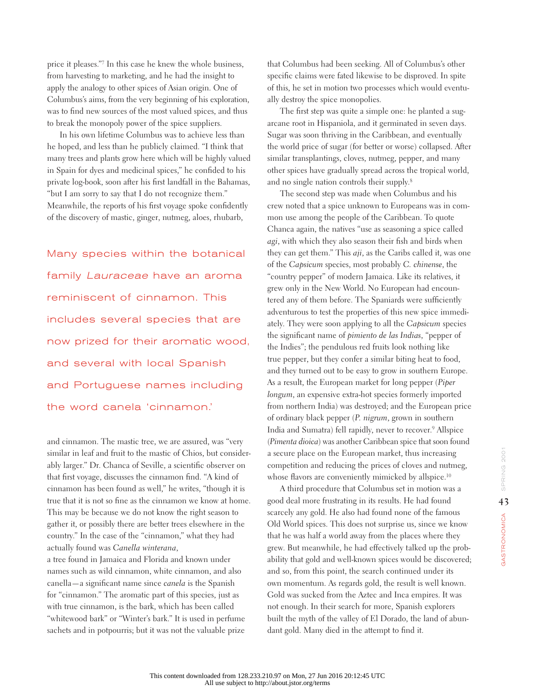price it pleases."7 In this case he knew the whole business, from harvesting to marketing, and he had the insight to apply the analogy to other spices of Asian origin. One of Columbus's aims, from the very beginning of his exploration, was to find new sources of the most valued spices, and thus to break the monopoly power of the spice suppliers.

In his own lifetime Columbus was to achieve less than he hoped, and less than he publicly claimed. "I think that many trees and plants grow here which will be highly valued in Spain for dyes and medicinal spices," he confided to his private log-book, soon after his first landfall in the Bahamas, "but I am sorry to say that I do not recognize them." Meanwhile, the reports of his first voyage spoke confidently of the discovery of mastic, ginger, nutmeg, aloes, rhubarb,

Many species within the botanical family Lauraceae have an aroma reminiscent of cinnamon. This includes several species that are now prized for their aromatic wood, and several with local Spanish and Portuguese names including the word canela 'cinnamon.'

and cinnamon. The mastic tree, we are assured, was "very similar in leaf and fruit to the mastic of Chios, but considerably larger." Dr. Chanca of Seville, a scientific observer on that first voyage, discusses the cinnamon find. "A kind of cinnamon has been found as well," he writes, "though it is true that it is not so fine as the cinnamon we know at home. This may be because we do not know the right season to gather it, or possibly there are better trees elsewhere in the country." In the case of the "cinnamon," what they had actually found was *Canella winterana*, a tree found in Jamaica and Florida and known under names such as wild cinnamon, white cinnamon, and also canella—a significant name since *canela* is the Spanish for "cinnamon." The aromatic part of this species, just as with true cinnamon, is the bark, which has been called "whitewood bark" or "Winter's bark." It is used in perfume sachets and in potpourris; but it was not the valuable prize

that Columbus had been seeking. All of Columbus's other specific claims were fated likewise to be disproved. In spite of this, he set in motion two processes which would eventually destroy the spice monopolies.

The first step was quite a simple one: he planted a sugarcane root in Hispaniola, and it germinated in seven days. Sugar was soon thriving in the Caribbean, and eventually the world price of sugar (for better or worse) collapsed. After similar transplantings, cloves, nutmeg, pepper, and many other spices have gradually spread across the tropical world, and no single nation controls their supply.8

The second step was made when Columbus and his crew noted that a spice unknown to Europeans was in common use among the people of the Caribbean. To quote Chanca again, the natives "use as seasoning a spice called *agi*, with which they also season their fish and birds when they can get them." This *aji*, as the Caribs called it, was one of the *Capsicum* species, most probably *C. chinense*, the "country pepper" of modern Jamaica. Like its relatives, it grew only in the New World. No European had encountered any of them before. The Spaniards were sufficiently adventurous to test the properties of this new spice immediately. They were soon applying to all the *Capsicum* species the significant name of *pimiento de las Indias*, "pepper of the Indies"; the pendulous red fruits look nothing like true pepper, but they confer a similar biting heat to food, and they turned out to be easy to grow in southern Europe. As a result, the European market for long pepper (*Piper longum*, an expensive extra-hot species formerly imported from northern India) was destroyed; and the European price of ordinary black pepper (*P. nigrum*, grown in southern India and Sumatra) fell rapidly, never to recover.<sup>9</sup> Allspice (*Pimenta dioica*) was another Caribbean spice that soon found a secure place on the European market, thus increasing competition and reducing the prices of cloves and nutmeg, whose flavors are conveniently mimicked by allspice.<sup>10</sup>

A third procedure that Columbus set in motion was a good deal more frustrating in its results. He had found scarcely any gold. He also had found none of the famous Old World spices. This does not surprise us, since we know that he was half a world away from the places where they grew. But meanwhile, he had effectively talked up the probability that gold and well-known spices would be discovered; and so, from this point, the search continued under its own momentum. As regards gold, the result is well known. Gold was sucked from the Aztec and Inca empires. It was not enough. In their search for more, Spanish explorers built the myth of the valley of El Dorado, the land of abundant gold. Many died in the attempt to find it.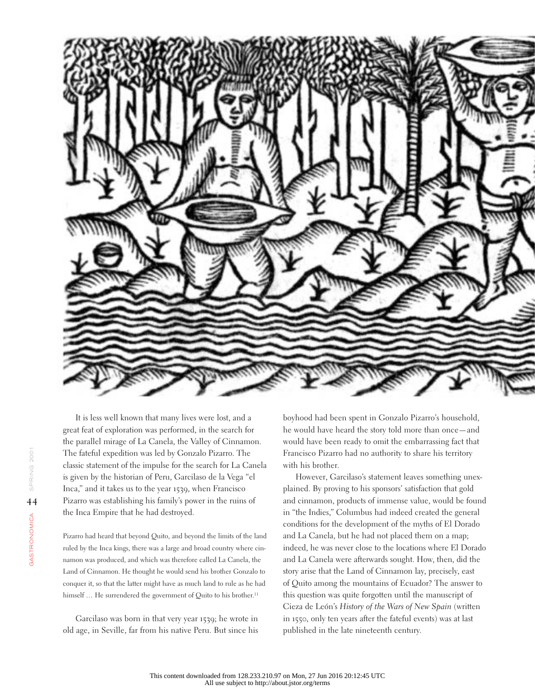

It is less well known that many lives were lost, and a great feat of exploration was performed, in the search for the parallel mirage of La Canela, the Valley of Cinnamon. The fateful expedition was led by Gonzalo Pizarro. The classic statement of the impulse for the search for La Canela is given by the historian of Peru, Garcilaso de la Vega "el Inca," and it takes us to the year 1539, when Francisco Pizarro was establishing his family's power in the ruins of the Inca Empire that he had destroyed.

Pizarro had heard that beyond Quito, and beyond the limits of the land ruled by the Inca kings, there was a large and broad country where cinnamon was produced, and which was therefore called La Canela, the Land of Cinnamon. He thought he would send his brother Gonzalo to conquer it, so that the latter might have as much land to rule as he had himself ... He surrendered the government of Quito to his brother.<sup>11</sup>

Garcilaso was born in that very year 1539; he wrote in old age, in Seville, far from his native Peru. But since his

boyhood had been spent in Gonzalo Pizarro's household, he would have heard the story told more than once—and would have been ready to omit the embarrassing fact that Francisco Pizarro had no authority to share his territory with his brother.

However, Garcilaso's statement leaves something unexplained. By proving to his sponsors' satisfaction that gold and cinnamon, products of immense value, would be found in "the Indies," Columbus had indeed created the general conditions for the development of the myths of El Dorado and La Canela, but he had not placed them on a map; indeed, he was never close to the locations where El Dorado and La Canela were afterwards sought. How, then, did the story arise that the Land of Cinnamon lay, precisely, east of Quito among the mountains of Ecuador? The answer to this question was quite forgotten until the manuscript of Cieza de León's *History of the Wars of New Spain* (written in 1550, only ten years after the fateful events) was at last published in the late nineteenth century.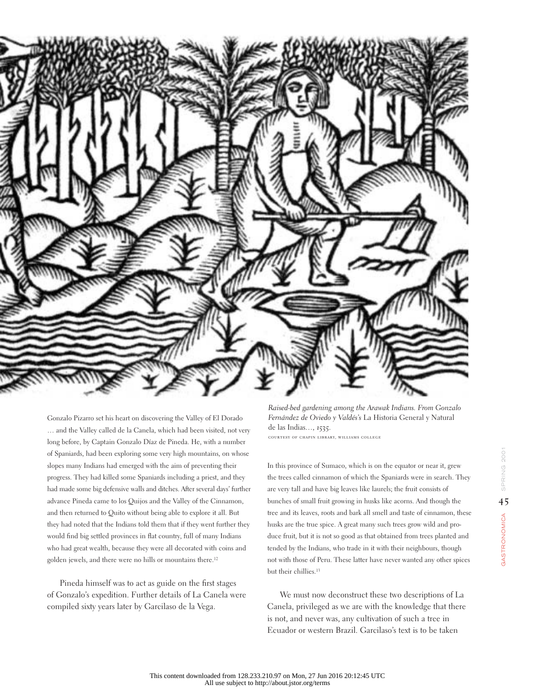

Gonzalo Pizarro set his heart on discovering the Valley of El Dorado … and the Valley called de la Canela, which had been visited, not very long before, by Captain Gonzalo Díaz de Pineda. He, with a number of Spaniards, had been exploring some very high mountains, on whose slopes many Indians had emerged with the aim of preventing their progress. They had killed some Spaniards including a priest, and they had made some big defensive walls and ditches. After several days' further advance Pineda came to los Quijos and the Valley of the Cinnamon, and then returned to Quito without being able to explore it all. But they had noted that the Indians told them that if they went further they would find big settled provinces in flat country, full of many Indians who had great wealth, because they were all decorated with coins and golden jewels, and there were no hills or mountains there.12

Pineda himself was to act as guide on the first stages of Gonzalo's expedition. Further details of La Canela were compiled sixty years later by Garcilaso de la Vega.

*Raised-bed gardening among the Arawak Indians. From Gonzalo Fernández de Oviedo y Valdés's* La Historia General y Natural de las Indias*…, 1535.* courtesy of chapin library, williams college

In this province of Sumaco, which is on the equator or near it, grew the trees called cinnamon of which the Spaniards were in search. They are very tall and have big leaves like laurels; the fruit consists of bunches of small fruit growing in husks like acorns. And though the tree and its leaves, roots and bark all smell and taste of cinnamon, these husks are the true spice. A great many such trees grow wild and produce fruit, but it is not so good as that obtained from trees planted and tended by the Indians, who trade in it with their neighbours, though not with those of Peru. These latter have never wanted any other spices but their chillies.<sup>13</sup>

We must now deconstruct these two descriptions of La Canela, privileged as we are with the knowledge that there is not, and never was, any cultivation of such a tree in Ecuador or western Brazil. Garcilaso's text is to be taken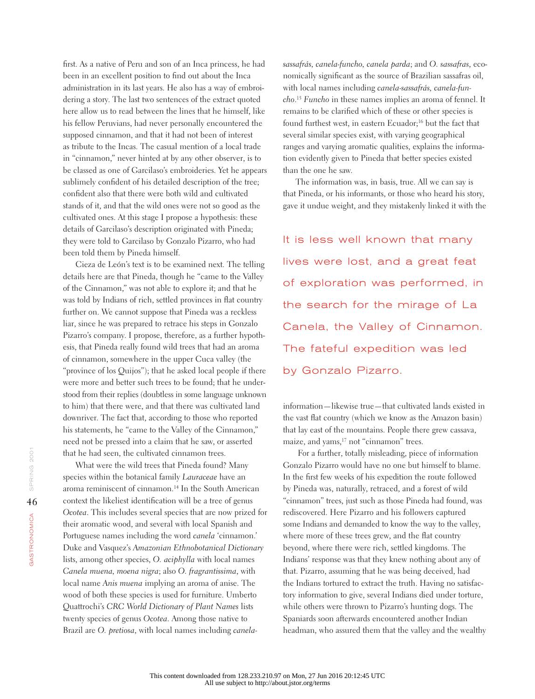first. As a native of Peru and son of an Inca princess, he had been in an excellent position to find out about the Inca administration in its last years. He also has a way of embroidering a story. The last two sentences of the extract quoted here allow us to read between the lines that he himself, like his fellow Peruvians, had never personally encountered the supposed cinnamon, and that it had not been of interest as tribute to the Incas. The casual mention of a local trade in "cinnamon," never hinted at by any other observer, is to be classed as one of Garcilaso's embroideries. Yet he appears sublimely confident of his detailed description of the tree; confident also that there were both wild and cultivated stands of it, and that the wild ones were not so good as the cultivated ones. At this stage I propose a hypothesis: these details of Garcilaso's description originated with Pineda; they were told to Garcilaso by Gonzalo Pizarro, who had been told them by Pineda himself.

Cieza de León's text is to be examined next. The telling details here are that Pineda, though he "came to the Valley of the Cinnamon," was not able to explore it; and that he was told by Indians of rich, settled provinces in flat country further on. We cannot suppose that Pineda was a reckless liar, since he was prepared to retrace his steps in Gonzalo Pizarro's company. I propose, therefore, as a further hypothesis, that Pineda really found wild trees that had an aroma of cinnamon, somewhere in the upper Cuca valley (the "province of los Quijos"); that he asked local people if there were more and better such trees to be found; that he understood from their replies (doubtless in some language unknown to him) that there were, and that there was cultivated land downriver. The fact that, according to those who reported his statements, he "came to the Valley of the Cinnamon," need not be pressed into a claim that he saw, or asserted that he had seen, the cultivated cinnamon trees.

What were the wild trees that Pineda found? Many species within the botanical family *Lauraceae* have an aroma reminiscent of cinnamon.14 In the South American context the likeliest identification will be a tree of genus *Ocotea*. This includes several species that are now prized for their aromatic wood, and several with local Spanish and Portuguese names including the word *canela* 'cinnamon.' Duke and Vasquez's *Amazonian Ethnobotanical Dictionary* lists, among other species, *O. aciphylla* with local names *Canela muena, moena nigra*; also *O. fragrantissima*, with local name *Anis muena* implying an aroma of anise. The wood of both these species is used for furniture. Umberto Quattrochi's *CRC World Dictionary of Plant Names* lists twenty species of genus *Ocotea*. Among those native to Brazil are *O. pretiosa*, with local names including *canela-*

*sassafrás, canela-funcho, canela parda*; and *O. sassafras*, economically significant as the source of Brazilian sassafras oil, with local names including *canela-sassafrás, canela-funcho*. <sup>15</sup> *Funcho* in these names implies an aroma of fennel. It remains to be clarified which of these or other species is found furthest west, in eastern Ecuador;<sup>16</sup> but the fact that several similar species exist, with varying geographical ranges and varying aromatic qualities, explains the information evidently given to Pineda that better species existed than the one he saw.

The information was, in basis, true. All we can say is that Pineda, or his informants, or those who heard his story, gave it undue weight, and they mistakenly linked it with the

It is less well known that many lives were lost, and a great feat of exploration was performed, in the search for the mirage of La Canela, the Valley of Cinnamon. The fateful expedition was led by Gonzalo Pizarro.

information—likewise true—that cultivated lands existed in the vast flat country (which we know as the Amazon basin) that lay east of the mountains. People there grew cassava, maize, and yams,<sup>17</sup> not "cinnamon" trees.

For a further, totally misleading, piece of information Gonzalo Pizarro would have no one but himself to blame. In the first few weeks of his expedition the route followed by Pineda was, naturally, retraced, and a forest of wild "cinnamon" trees, just such as those Pineda had found, was rediscovered. Here Pizarro and his followers captured some Indians and demanded to know the way to the valley, where more of these trees grew, and the flat country beyond, where there were rich, settled kingdoms. The Indians' response was that they knew nothing about any of that. Pizarro, assuming that he was being deceived, had the Indians tortured to extract the truth. Having no satisfactory information to give, several Indians died under torture, while others were thrown to Pizarro's hunting dogs. The Spaniards soon afterwards encountered another Indian headman, who assured them that the valley and the wealthy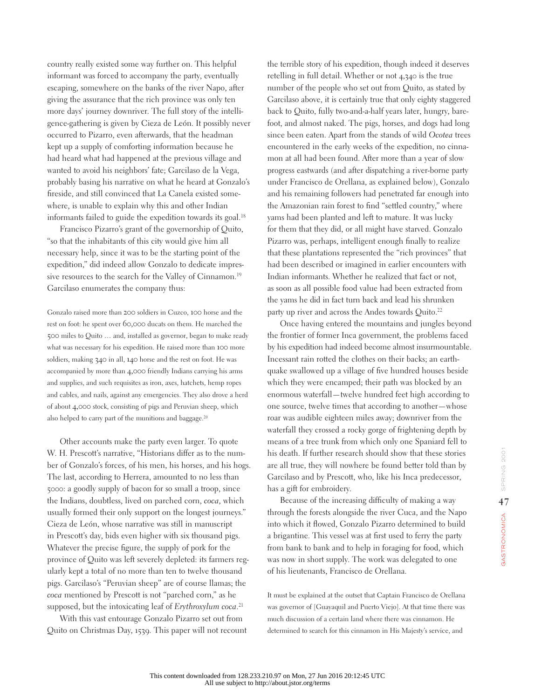country really existed some way further on. This helpful informant was forced to accompany the party, eventually escaping, somewhere on the banks of the river Napo, after giving the assurance that the rich province was only ten more days' journey downriver. The full story of the intelligence-gathering is given by Cieza de León. It possibly never occurred to Pizarro, even afterwards, that the headman kept up a supply of comforting information because he had heard what had happened at the previous village and wanted to avoid his neighbors' fate; Garcilaso de la Vega, probably basing his narrative on what he heard at Gonzalo's fireside, and still convinced that La Canela existed somewhere, is unable to explain why this and other Indian informants failed to guide the expedition towards its goal.<sup>18</sup>

Francisco Pizarro's grant of the governorship of Quito, "so that the inhabitants of this city would give him all necessary help, since it was to be the starting point of the expedition," did indeed allow Gonzalo to dedicate impressive resources to the search for the Valley of Cinnamon.<sup>19</sup> Garcilaso enumerates the company thus:

Gonzalo raised more than 200 soldiers in Cuzco, 100 horse and the rest on foot: he spent over 60,000 ducats on them. He marched the 500 miles to Quito … and, installed as governor, began to make ready what was necessary for his expedition. He raised more than 100 more soldiers, making 340 in all, 140 horse and the rest on foot. He was accompanied by more than 4,000 friendly Indians carrying his arms and supplies, and such requisites as iron, axes, hatchets, hemp ropes and cables, and nails, against any emergencies. They also drove a herd of about 4,000 stock, consisting of pigs and Peruvian sheep, which also helped to carry part of the munitions and baggage.<sup>20</sup>

Other accounts make the party even larger. To quote W. H. Prescott's narrative, "Historians differ as to the number of Gonzalo's forces, of his men, his horses, and his hogs. The last, according to Herrera, amounted to no less than 5000: a goodly supply of bacon for so small a troop, since the Indians, doubtless, lived on parched corn, *coca*, which usually formed their only support on the longest journeys." Cieza de León, whose narrative was still in manuscript in Prescott's day, bids even higher with six thousand pigs. Whatever the precise figure, the supply of pork for the province of Quito was left severely depleted: its farmers regularly kept a total of no more than ten to twelve thousand pigs. Garcilaso's "Peruvian sheep" are of course llamas; the *coca* mentioned by Prescott is not "parched corn," as he supposed, but the intoxicating leaf of *Erythroxylum coca*. 21

With this vast entourage Gonzalo Pizarro set out from Quito on Christmas Day, 1539. This paper will not recount

the terrible story of his expedition, though indeed it deserves retelling in full detail. Whether or not 4,340 is the true number of the people who set out from Quito, as stated by Garcilaso above, it is certainly true that only eighty staggered back to Quito, fully two-and-a-half years later, hungry, barefoot, and almost naked. The pigs, horses, and dogs had long since been eaten. Apart from the stands of wild *Ocotea* trees encountered in the early weeks of the expedition, no cinnamon at all had been found. After more than a year of slow progress eastwards (and after dispatching a river-borne party under Francisco de Orellana, as explained below), Gonzalo and his remaining followers had penetrated far enough into the Amazonian rain forest to find "settled country," where yams had been planted and left to mature. It was lucky for them that they did, or all might have starved. Gonzalo Pizarro was, perhaps, intelligent enough finally to realize that these plantations represented the "rich provinces" that had been described or imagined in earlier encounters with Indian informants. Whether he realized that fact or not, as soon as all possible food value had been extracted from the yams he did in fact turn back and lead his shrunken party up river and across the Andes towards Quito.<sup>22</sup>

Once having entered the mountains and jungles beyond the frontier of former Inca government, the problems faced by his expedition had indeed become almost insurmountable. Incessant rain rotted the clothes on their backs; an earthquake swallowed up a village of five hundred houses beside which they were encamped; their path was blocked by an enormous waterfall—twelve hundred feet high according to one source, twelve times that according to another—whose roar was audible eighteen miles away; downriver from the waterfall they crossed a rocky gorge of frightening depth by means of a tree trunk from which only one Spaniard fell to his death. If further research should show that these stories are all true, they will nowhere be found better told than by Garcilaso and by Prescott, who, like his Inca predecessor, has a gift for embroidery.

Because of the increasing difficulty of making a way through the forests alongside the river Cuca, and the Napo into which it flowed, Gonzalo Pizarro determined to build a brigantine. This vessel was at first used to ferry the party from bank to bank and to help in foraging for food, which was now in short supply. The work was delegated to one of his lieutenants, Francisco de Orellana.

It must be explained at the outset that Captain Francisco de Orellana was governor of [Guayaquil and Puerto Viejo]. At that time there was much discussion of a certain land where there was cinnamon. He determined to search for this cinnamon in His Majesty's service, and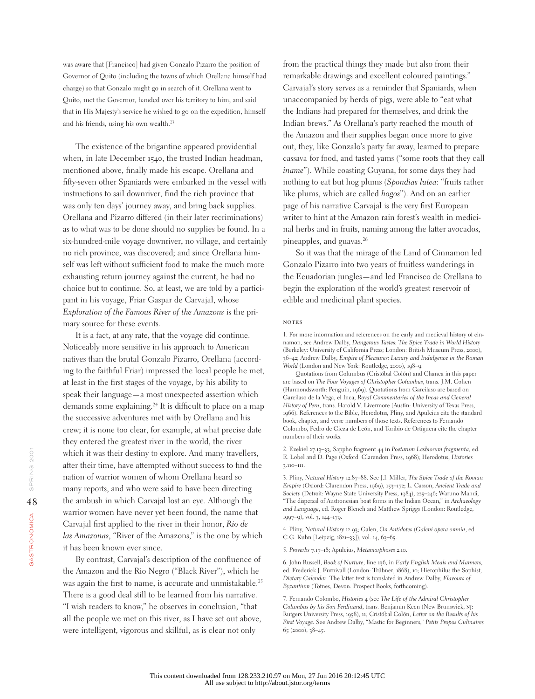was aware that [Francisco] had given Gonzalo Pizarro the position of Governor of Quito (including the towns of which Orellana himself had charge) so that Gonzalo might go in search of it. Orellana went to Quito, met the Governor, handed over his territory to him, and said that in His Majesty's service he wished to go on the expedition, himself and his friends, using his own wealth.23

The existence of the brigantine appeared providential when, in late December 1540, the trusted Indian headman, mentioned above, finally made his escape. Orellana and fifty-seven other Spaniards were embarked in the vessel with instructions to sail downriver, find the rich province that was only ten days' journey away, and bring back supplies. Orellana and Pizarro differed (in their later recriminations) as to what was to be done should no supplies be found. In a six-hundred-mile voyage downriver, no village, and certainly no rich province, was discovered; and since Orellana himself was left without sufficient food to make the much more exhausting return journey against the current, he had no choice but to continue. So, at least, we are told by a participant in his voyage, Friar Gaspar de Carvajal, whose *Exploration of the Famous River of the Amazons* is the primary source for these events.

It is a fact, at any rate, that the voyage did continue. Noticeably more sensitive in his approach to American natives than the brutal Gonzalo Pizarro, Orellana (according to the faithful Friar) impressed the local people he met, at least in the first stages of the voyage, by his ability to speak their language—a most unexpected assertion which demands some explaining.24 It is difficult to place on a map the successive adventures met with by Orellana and his crew; it is none too clear, for example, at what precise date they entered the greatest river in the world, the river which it was their destiny to explore. And many travellers, after their time, have attempted without success to find the nation of warrior women of whom Orellana heard so many reports, and who were said to have been directing the ambush in which Carvajal lost an eye. Although the warrior women have never yet been found, the name that Carvajal first applied to the river in their honor, *Rio de las Amazonas*, "River of the Amazons," is the one by which it has been known ever since.

By contrast, Carvajal's description of the confluence of the Amazon and the Rio Negro ("Black River"), which he was again the first to name, is accurate and unmistakable.<sup>25</sup> There is a good deal still to be learned from his narrative. "I wish readers to know," he observes in conclusion, "that all the people we met on this river, as I have set out above, were intelligent, vigorous and skillful, as is clear not only

from the practical things they made but also from their remarkable drawings and excellent coloured paintings." Carvajal's story serves as a reminder that Spaniards, when unaccompanied by herds of pigs, were able to "eat what the Indians had prepared for themselves, and drink the Indian brews." As Orellana's party reached the mouth of the Amazon and their supplies began once more to give out, they, like Gonzalo's party far away, learned to prepare cassava for food, and tasted yams ("some roots that they call *iname*"). While coasting Guyana, for some days they had nothing to eat but hog plums (*Spondias lutea*: "fruits rather like plums, which are called *hogos*"). And on an earlier page of his narrative Carvajal is the very first European writer to hint at the Amazon rain forest's wealth in medicinal herbs and in fruits, naming among the latter avocados, pineapples, and guavas.<sup>26</sup>

So it was that the mirage of the Land of Cinnamon led Gonzalo Pizarro into two years of fruitless wanderings in the Ecuadorian jungles—and led Francisco de Orellana to begin the exploration of the world's greatest reservoir of edible and medicinal plant species.

## notes

1. For more information and references on the early and medieval history of cinnamon, see Andrew Dalby, *Dangerous Tastes: The Spice Trade in World History* (Berkeley: University of California Press; London: British Museum Press, 2000), 36–42; Andrew Dalby, *Empire of Pleasures: Luxury and Indulgence in the Roman World* (London and New York: Routledge, 2000), 198–9.

Quotations from Columbus (Cristóbal Colón) and Chanca in this paper are based on *The Four Voyages of Christopher Columbus*, trans. J.M. Cohen (Harmondsworth: Penguin, 1969). Quotations from Garcilaso are based on Garcilaso de la Vega, el Inca, *Royal Commentaries of the Incas and General History of Peru*, trans. Harold V. Livermore (Austin: University of Texas Press, 1966). References to the Bible, Herodotus, Pliny, and Apuleius cite the standard book, chapter, and verse numbers of those texts. References to Fernando Colombo, Pedro de Cieza de León, and Toribio de Ortiguera cite the chapter numbers of their works.

2. Ezekiel 27.13–33; Sappho fragment 44 in *Poetarum Lesbiorum fragmenta*, ed. E. Lobel and D. Page (Oxford: Clarendon Press, 1968); Herodotus, *Histories* 3.110–111.

3. Pliny, *Natural History* 12.87–88. See J.I. Miller, *The Spice Trade of the Roman Empire* (Oxford: Clarendon Press, 1969), 153–172; L. Casson, *Ancient Trade and Society* (Detroit: Wayne State University Press, 1984), 225–246; Waruno Mahdi, "The dispersal of Austronesian boat forms in the Indian Ocean," in *Archaeology and Language*, ed. Roger Blench and Matthew Spriggs (London: Routledge, 1997–9), vol. 3, 144–179.

4. Pliny, *Natural History* 12.93; Galen, *On Antidotes* (*Galeni opera omnia*, ed. C.G. Kuhn [Leipzig, 1821–33]), vol. 14, 63–65.

5. *Proverbs* 7.17–18; Apuleius, *Metamorphoses* 2.10.

6. John Russell, *Book of Nurture*, line 136, in *Early English Meals and Manners,* ed. Frederick J. Furnivall (London: Trübner, 1868), 10; Hierophilus the Sophist, *Dietary Calendar*. The latter text is translated in Andrew Dalby, *Flavours of Byzantium* (Totnes, Devon: Prospect Books, forthcoming).

7. Fernando Colombo, *Histories* 4 (see *The Life of the Admiral Christopher Columbus by his Son Ferdinand*, trans. Benjamin Keen (New Brunswick, nj: Rutgers University Press, 1958), 11; Cristóbal Colón, *Letter on the Results of his First Voyage.* See Andrew Dalby, "Mastic for Beginners," *Petits Propos Culinaires* 65 (2000), 38–45.